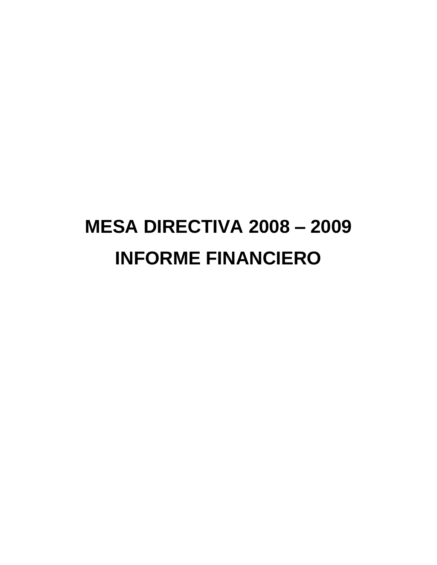# **MESA DIRECTIVA 2008 – 2009 INFORME FINANCIERO**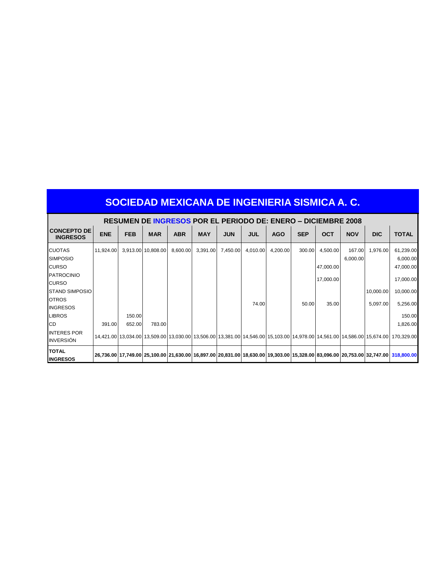|                                        | <b>RESUMEN DE INGRESOS POR EL PERIODO DE: ENERO – DICIEMBRE 2008</b> |            |                    |            |            |            |            |            |            |            |                    |            |                                                                                                                                    |
|----------------------------------------|----------------------------------------------------------------------|------------|--------------------|------------|------------|------------|------------|------------|------------|------------|--------------------|------------|------------------------------------------------------------------------------------------------------------------------------------|
| <b>CONCEPTO DE</b><br><b>INGRESOS</b>  | <b>ENE</b>                                                           | <b>FEB</b> | <b>MAR</b>         | <b>ABR</b> | <b>MAY</b> | <b>JUN</b> | <b>JUL</b> | <b>AGO</b> | <b>SEP</b> | <b>OCT</b> | <b>NOV</b>         | <b>DIC</b> | <b>TOTAL</b>                                                                                                                       |
| <b>CUOTAS</b><br><b>SIMPOSIO</b>       | 11,924.00                                                            |            | 3,913.00 10,808.00 | 8,600.00   | 3,391.00   | 7,450.00   | 4,010.00   | 4,200.00   | 300.00     | 4,500.00   | 167.00<br>6,000.00 | 1,976.00   | 61,239.00<br>6,000.00                                                                                                              |
| <b>CURSO</b>                           |                                                                      |            |                    |            |            |            |            |            |            | 47,000.00  |                    |            | 47,000.00                                                                                                                          |
| <b>PATROCINIO</b><br><b>CURSO</b>      |                                                                      |            |                    |            |            |            |            |            |            | 17,000.00  |                    |            | 17,000.00                                                                                                                          |
| <b>STAND SIMPOSIO</b>                  |                                                                      |            |                    |            |            |            |            |            |            |            |                    | 10,000.00  | 10,000.00                                                                                                                          |
| <b>OTROS</b><br><b>INGRESOS</b>        |                                                                      |            |                    |            |            |            | 74.00      |            | 50.00      | 35.00      |                    | 5,097.00   | 5,256.00                                                                                                                           |
| <b>LIBROS</b>                          |                                                                      | 150.00     |                    |            |            |            |            |            |            |            |                    |            | 150.00                                                                                                                             |
| <b>CD</b>                              | 391.00                                                               | 652.00     | 783.00             |            |            |            |            |            |            |            |                    |            | 1,826.00                                                                                                                           |
| <b>INTERES POR</b><br><b>INVERSIÓN</b> |                                                                      |            |                    |            |            |            |            |            |            |            |                    |            | 14,421.00 13,034.00 13,509.00 13,030.00 13,506.00 13,381.00 14,546.00 15,103.00 14,978.00 14,561.00 14,586.00 15,674.00 170,329.00 |
| <b>TOTAL</b><br><b>INGRESOS</b>        |                                                                      |            |                    |            |            |            |            |            |            |            |                    |            | 26,736.00 17,749.00 25,100.00 21,630.00 16,897.00 20,831.00 18,630.00 19,303.00 15,328.00 83,096.00 20,753.00 32,747.00 318,800.00 |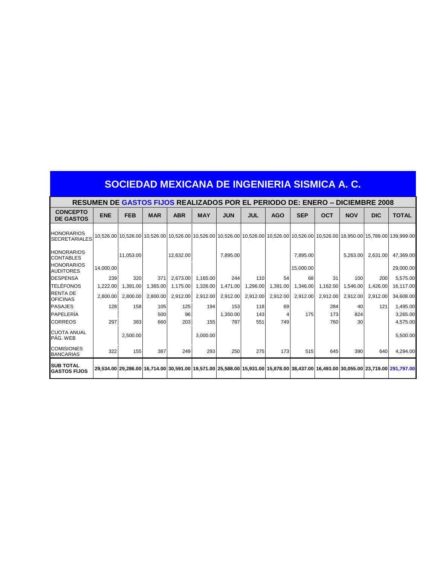|                                           | RESUMEN DE GASTOS FIJOS REALIZADOS POR EL PERIODO DE: ENERO – DICIEMBRE 2008 |            |            |            |            |            |            |            |            |            |            |            |                                                                                                                                                            |
|-------------------------------------------|------------------------------------------------------------------------------|------------|------------|------------|------------|------------|------------|------------|------------|------------|------------|------------|------------------------------------------------------------------------------------------------------------------------------------------------------------|
| <b>CONCEPTO</b><br><b>DE GASTOS</b>       | <b>ENE</b>                                                                   | <b>FEB</b> | <b>MAR</b> | <b>ABR</b> | <b>MAY</b> | <b>JUN</b> | <b>JUL</b> | <b>AGO</b> | <b>SEP</b> | <b>OCT</b> | <b>NOV</b> | <b>DIC</b> | <b>TOTAL</b>                                                                                                                                               |
| <b>HONORARIOS</b><br><b>SECRETARIALES</b> |                                                                              |            |            |            |            |            |            |            |            |            |            |            | 10,526.00   10,526.00   10,526.00   10,526.00   10,526.00   10,526.00   10,526.00   10,526.00   10,526.00   10,526.00   18,950.00   15,789.00   139,999.00 |
| <b>HONORARIOS</b><br><b>CONTABLES</b>     |                                                                              | 11,053.00  |            | 12,632.00  |            | 7,895.00   |            |            | 7,895.00   |            | 5.263.00   | 2,631.00   | 47,369.00                                                                                                                                                  |
| <b>HONORARIOS</b><br><b>AUDITORES</b>     | 14,000.00                                                                    |            |            |            |            |            |            |            | 15,000.00  |            |            |            | 29,000.00                                                                                                                                                  |
| <b>DESPENSA</b>                           | 239                                                                          | 320        | 371        | 2,673.00   | 1.165.00   | 244        | 110        | 54         | 68         | 31         | 100        | 200        | 5,575.00                                                                                                                                                   |
| <b>TELÉFONOS</b>                          | 1,222.00                                                                     | 1,391.00   | 1,365.00   | 1,175.00   | 1,326.00   | 1,471.00   | 1,296.00   | 1,391.00   | 1,346.00   | 1,162.00   | 1,546.00   | 1,426.00   | 16,117.00                                                                                                                                                  |
| <b>RENTA DE</b><br><b>OFICINAS</b>        | 2.800.00                                                                     | 2.800.00   | 2.800.00   | 2,912.00   | 2,912.00   | 2,912.00   | 2,912.00   | 2,912.00   | 2,912.00   | 2,912.00   | 2.912.00   | 2.912.00   | 34.608.00                                                                                                                                                  |
| <b>PASAJES</b>                            | 128                                                                          | 158        | 105        | 125        | 194        | 153        | 118        | 69         |            | 284        | 40         | 121        | 1,495.00                                                                                                                                                   |
| PAPELERÍA                                 |                                                                              |            | 500        | 96         |            | 1,350.00   | 143        | 4          | 175        | 173        | 824        |            | 3,265.00                                                                                                                                                   |
| <b>CORREOS</b>                            | 297                                                                          | 383        | 660        | 203        | 155        | 787        | 551        | 749        |            | 760        | 30         |            | 4,575.00                                                                                                                                                   |
| <b>CUOTA ANUAL</b><br>PÁG. WEB            |                                                                              | 2.500.00   |            |            | 3,000.00   |            |            |            |            |            |            |            | 5,500.00                                                                                                                                                   |
| <b>COMISIONES</b><br><b>BANCARIAS</b>     | 322                                                                          | 155        | 387        | 249        | 293        | 250        | 275        | 173        | 515        | 645        | 390        | 640        | 4,294.00                                                                                                                                                   |
| <b>SUB TOTAL</b><br><b>GASTOS FIJOS</b>   |                                                                              |            |            |            |            |            |            |            |            |            |            |            | 29,534.00 29,286.00 16,714.00 30,591.00 19,571.00 25,588.00 15,931.00 15,878.00 38,437.00 16,493.00 30,055.00 23,719.00 291,797.00                         |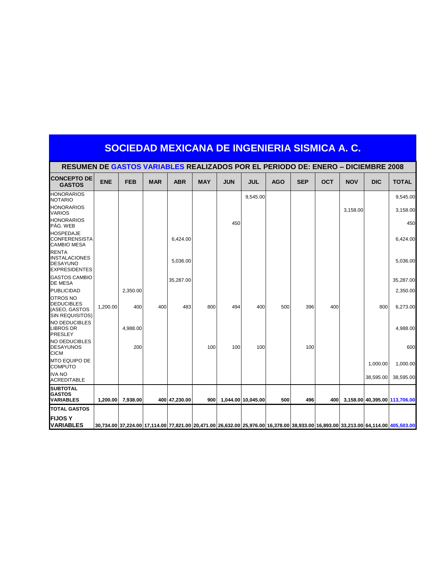|                                                                                 | SOCIEDAD MEXICANA DE INGENIERIA SISMICA A. C.                                           |            |            |               |            |            |                    |            |            |            |            |            |                                                                                                                                    |
|---------------------------------------------------------------------------------|-----------------------------------------------------------------------------------------|------------|------------|---------------|------------|------------|--------------------|------------|------------|------------|------------|------------|------------------------------------------------------------------------------------------------------------------------------------|
|                                                                                 | <b>RESUMEN DE GASTOS VARIABLES REALIZADOS POR EL PERIODO DE: ENERO – DICIEMBRE 2008</b> |            |            |               |            |            |                    |            |            |            |            |            |                                                                                                                                    |
| <b>CONCEPTO DE</b><br><b>GASTOS</b>                                             | <b>ENE</b>                                                                              | <b>FEB</b> | <b>MAR</b> | <b>ABR</b>    | <b>MAY</b> | <b>JUN</b> | <b>JUL</b>         | <b>AGO</b> | <b>SEP</b> | <b>OCT</b> | <b>NOV</b> | <b>DIC</b> | <b>TOTAL</b>                                                                                                                       |
| <b>HONORARIOS</b><br><b>NOTARIO</b>                                             |                                                                                         |            |            |               |            |            | 9,545.00           |            |            |            |            |            | 9,545.00                                                                                                                           |
| <b>HONORARIOS</b><br><b>VARIOS</b>                                              |                                                                                         |            |            |               |            |            |                    |            |            |            | 3,158.00   |            | 3,158.00                                                                                                                           |
| <b>HONORARIOS</b><br>PÁG. WEB                                                   |                                                                                         |            |            |               |            | 450        |                    |            |            |            |            |            | 450                                                                                                                                |
| <b>HOSPEDAJE</b><br><b>CONFERENSISTA</b><br><b>CAMBIO MESA</b>                  |                                                                                         |            |            | 6,424.00      |            |            |                    |            |            |            |            |            | 6,424.00                                                                                                                           |
| <b>RENTA</b><br><b>INSTALACIONES</b><br><b>DESAYUNO</b><br><b>EXPRESIDENTES</b> |                                                                                         |            |            | 5,036.00      |            |            |                    |            |            |            |            |            | 5,036.00                                                                                                                           |
| <b>GASTOS CAMBIO</b><br><b>DE MESA</b>                                          |                                                                                         |            |            | 35,287.00     |            |            |                    |            |            |            |            |            | 35,287.00                                                                                                                          |
| <b>PUBLICIDAD</b>                                                               |                                                                                         | 2,350.00   |            |               |            |            |                    |            |            |            |            |            | 2,350.00                                                                                                                           |
| <b>OTROS NO</b><br><b>DEDUCIBLES</b><br>(ASEO, GASTOS<br><b>SIN REQUISITOS)</b> | 1,200.00                                                                                | 400        | 400        | 483           | 800        | 494        | 400                | 500        | 396        | 400        |            | 800        | 6,273.00                                                                                                                           |
| <b>NO DEDUCIBLES</b><br><b>LIBROS DR</b><br>PRESLEY                             |                                                                                         | 4.988.00   |            |               |            |            |                    |            |            |            |            |            | 4.988.00                                                                                                                           |
| <b>NO DEDUCIBLES</b><br><b>DESAYUNOS</b><br><b>CICM</b>                         |                                                                                         | 200        |            |               | 100        | 100        | 100                |            | 100        |            |            |            | 600                                                                                                                                |
| <b>MTO EQUIPO DE</b><br><b>COMPUTO</b>                                          |                                                                                         |            |            |               |            |            |                    |            |            |            |            | 1,000.00   | 1,000.00                                                                                                                           |
| <b>IVA NO</b><br><b>ACREDITABLE</b>                                             |                                                                                         |            |            |               |            |            |                    |            |            |            |            | 38,595.00  | 38,595.00                                                                                                                          |
| <b>SUBTOTAL</b><br><b>GASTOS</b><br><b>VARIABLES</b>                            | 1.200.00                                                                                | 7.938.00   |            | 400 47.230.00 | 900        |            | 1.044.00 10.045.00 | 500        | 496        | 400        |            |            | 3.158.00 40.395.00 113.706.00                                                                                                      |
| <b>TOTAL GASTOS</b>                                                             |                                                                                         |            |            |               |            |            |                    |            |            |            |            |            |                                                                                                                                    |
| <b>IFIJOS Y</b><br><b>VARIABLES</b>                                             |                                                                                         |            |            |               |            |            |                    |            |            |            |            |            | 30,734.00 37,224.00 17,114.00 77,821.00 20,471.00 26,632.00 25,976.00 16,378.00 38,933.00 16,893.00 33,213.00 64,114.00 405,503.00 |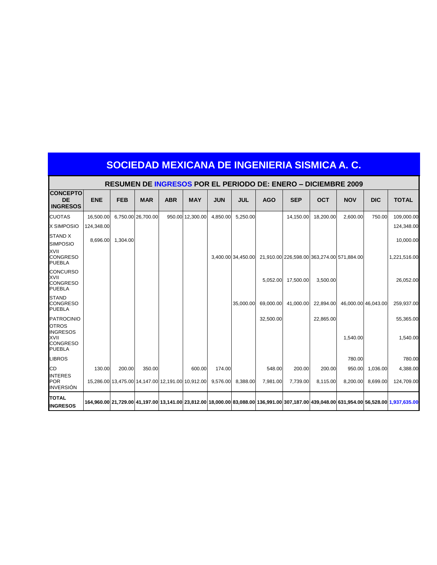|                                                             | SOCIEDAD MEXICANA DE INGENIERIA SISMICA A. C.                        |            |                    |            |                                                            |            |                    |            |                    |                                            |            |                     |                                                                                                                                           |
|-------------------------------------------------------------|----------------------------------------------------------------------|------------|--------------------|------------|------------------------------------------------------------|------------|--------------------|------------|--------------------|--------------------------------------------|------------|---------------------|-------------------------------------------------------------------------------------------------------------------------------------------|
|                                                             | <b>RESUMEN DE INGRESOS POR EL PERIODO DE: ENERO – DICIEMBRE 2009</b> |            |                    |            |                                                            |            |                    |            |                    |                                            |            |                     |                                                                                                                                           |
| <b>CONCEPTO</b><br><b>DE</b><br><b>INGRESOS</b>             | <b>ENE</b>                                                           | <b>FEB</b> | <b>MAR</b>         | <b>ABR</b> | <b>MAY</b>                                                 | <b>JUN</b> | <b>JUL</b>         | <b>AGO</b> | <b>SEP</b>         | <b>OCT</b>                                 | <b>NOV</b> | <b>DIC</b>          | <b>TOTAL</b>                                                                                                                              |
| <b>CUOTAS</b>                                               | 16.500.00                                                            |            | 6,750.00 26,700.00 |            | 950.00 12.300.00                                           | 4.850.00   | 5,250.00           |            | 14.150.00          | 18,200.00                                  | 2,600.00   | 750.00              | 109,000.00                                                                                                                                |
| <b>X SIMPOSIO</b>                                           | 124,348.00                                                           |            |                    |            |                                                            |            |                    |            |                    |                                            |            |                     | 124,348.00                                                                                                                                |
| <b>STAND X</b><br><b>SIMPOSIO</b>                           | 8.696.00                                                             | 1,304.00   |                    |            |                                                            |            |                    |            |                    |                                            |            |                     | 10,000.00                                                                                                                                 |
| <b>XVII</b><br><b>CONGRESO</b><br><b>PUEBLA</b>             |                                                                      |            |                    |            |                                                            |            | 3.400.00 34.450.00 |            |                    | 21,910.00 226,598.00 363,274.00 571,884.00 |            |                     | 1,221,516.00                                                                                                                              |
| <b>CONCURSO</b><br>XVII<br><b>CONGRESO</b><br><b>PUEBLA</b> |                                                                      |            |                    |            |                                                            |            |                    |            | 5,052.00 17,500.00 | 3,500.00                                   |            |                     | 26,052.00                                                                                                                                 |
| <b>STAND</b><br><b>CONGRESO</b><br><b>PUEBLA</b>            |                                                                      |            |                    |            |                                                            |            | 35,000.00          | 69.000.00  | 41,000.00          | 22,894.00                                  |            | 46,000.00 46,043.00 | 259,937.00                                                                                                                                |
| <b>PATROCINIO</b><br><b>OTROS</b>                           |                                                                      |            |                    |            |                                                            |            |                    | 32,500.00  |                    | 22,865.00                                  |            |                     | 55,365.00                                                                                                                                 |
| <b>INGRESOS</b><br>XVII<br><b>CONGRESO</b><br><b>PUEBLA</b> |                                                                      |            |                    |            |                                                            |            |                    |            |                    |                                            | 1,540.00   |                     | 1,540.00                                                                                                                                  |
| <b>LIBROS</b>                                               |                                                                      |            |                    |            |                                                            |            |                    |            |                    |                                            | 780.00     |                     | 780.00                                                                                                                                    |
| CD                                                          | 130.00                                                               | 200.00     | 350.00             |            | 600.00                                                     | 174.00     |                    | 548.00     | 200.00             | 200.00                                     | 950.00     | 1.036.00            | 4,388.00                                                                                                                                  |
| <b>INTERES</b><br><b>POR</b><br><b>INVERSIÓN</b>            |                                                                      |            |                    |            | 15,286.00 13,475.00 14,147.00 12,191.00 10,912.00 9.576.00 |            | 8,388.00           | 7,981.00   | 7,739.00           | 8,115.00                                   | 8,200.00   | 8,699.00            | 124,709.00                                                                                                                                |
| <b>TOTAL</b><br><b>INGRESOS</b>                             |                                                                      |            |                    |            |                                                            |            |                    |            |                    |                                            |            |                     | 164,960.00 21,729.00 41,197.00 13,141.00 23,812.00 18,000.00 83,088.00 136,991.00 307,187.00 439,048.00 631,954.00 56,528.00 1,937,635.00 |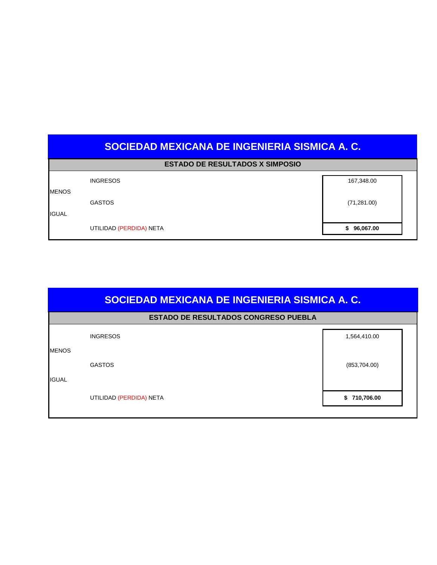|  | <b>ESTADO DE RESULTADOS X SIMPOSIO</b> |  |  |
|--|----------------------------------------|--|--|
|--|----------------------------------------|--|--|

|              | UTILIDAD (PERDIDA) NETA | \$96,067.00  |
|--------------|-------------------------|--------------|
| <b>IGUAL</b> | <b>GASTOS</b>           | (71, 281.00) |
| <b>MENOS</b> | <b>INGRESOS</b>         | 167,348.00   |

|                              | SOCIEDAD MEXICANA DE INGENIERIA SISMICA A. C. |              |  |  |  |  |  |  |  |  |
|------------------------------|-----------------------------------------------|--------------|--|--|--|--|--|--|--|--|
|                              | <b>ESTADO DE RESULTADOS CONGRESO PUEBLA</b>   |              |  |  |  |  |  |  |  |  |
|                              | <b>INGRESOS</b>                               | 1,564,410.00 |  |  |  |  |  |  |  |  |
| <b>MENOS</b><br><b>IGUAL</b> | <b>GASTOS</b>                                 | (853,704.00) |  |  |  |  |  |  |  |  |
|                              | UTILIDAD (PERDIDA) NETA                       | \$710,706.00 |  |  |  |  |  |  |  |  |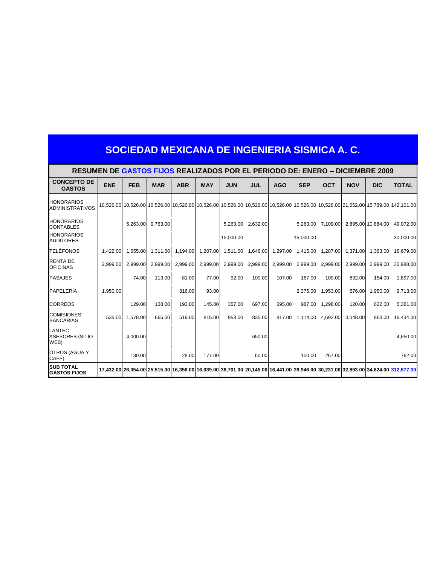| SOCIEDAD MEXICANA DE INGENIERIA SISMICA A. C. |
|-----------------------------------------------|
|-----------------------------------------------|

|                                             | <b>RESUMEN DE GASTOS FIJOS REALIZADOS POR EL PERIODO DE: ENERO – DICIEMBRE 2009</b> |            |            |            |            |            |            |            |            |            |            |                    |                                                                                                                                               |
|---------------------------------------------|-------------------------------------------------------------------------------------|------------|------------|------------|------------|------------|------------|------------|------------|------------|------------|--------------------|-----------------------------------------------------------------------------------------------------------------------------------------------|
| <b>CONCEPTO DE</b><br><b>GASTOS</b>         | <b>ENE</b>                                                                          | <b>FEB</b> | <b>MAR</b> | <b>ABR</b> | <b>MAY</b> | <b>JUN</b> | <b>JUL</b> | <b>AGO</b> | <b>SEP</b> | <b>OCT</b> | <b>NOV</b> | <b>DIC</b>         | <b>TOTAL</b>                                                                                                                                  |
| <b>HONORARIOS</b><br><b>ADMINISTRATIVOS</b> |                                                                                     |            |            |            |            |            |            |            |            |            |            |                    | 10,526.00 10,526.00 10,526.00 10,526.00 10,526.00 10,526.00 10,526.00 10,526.00 10,526.00 10,526.00 10,526.00 21,0526.00 15,789.00 142,101.00 |
| <b>HONORARIOS</b><br><b>CONTABLES</b>       |                                                                                     | 5,263.00   | 9,763.00   |            |            | 5,263.00   | 2,632.00   |            | 5,263.00   | 7,109.00   |            | 2,895.00 10,884.00 | 49,072.00                                                                                                                                     |
| <b>HONORARIOS</b><br><b>AUDITORES</b>       |                                                                                     |            |            |            |            | 15,000.00  |            |            | 15,000.00  |            |            |                    | 30,000.00                                                                                                                                     |
| <b>TELÉFONOS</b>                            | 1.422.00                                                                            | 1,655.00   | 1,311.00   | 1,194.00   | 1,207.00   | 1,511.00   | 1,646.00   | 1,297.00   | 1,415.00   | 1,287.00   | 1,371.00   | 1.363.00           | 16.679.00                                                                                                                                     |
| <b>RENTA DE</b><br><b>OFICINAS</b>          | 2.999.00                                                                            | 2.999.00   | 2.999.00   | 2,999.00   | 2,999.00   | 2,999.00   | 2,999.00   | 2,999.00   | 2,999.00   | 2,999.00   | 2,999.00   | 2.999.00           | 35.988.00                                                                                                                                     |
| <b>PASAJES</b>                              |                                                                                     | 74.00      | 113.00     | 81.00      | 77.00      | 92.00      | 100.00     | 107.00     | 167.00     | 100.00     | 832.00     | 154.00             | 1,897.00                                                                                                                                      |
| PAPELERÍA                                   | 1.950.00                                                                            |            |            | 816.00     | 93.00      |            |            |            | 2.375.00   | 1.953.00   | 576.00     | 1.950.00           | 9,713.00                                                                                                                                      |
| <b>CORREOS</b>                              |                                                                                     | 129.00     | 138.00     | 193.00     | 145.00     | 357.00     | 697.00     | 695.00     | 987.00     | 1,298.00   | 120.00     | 622.00             | 5,381.00                                                                                                                                      |
| <b>COMISIONES</b><br><b>BANCARIAS</b>       | 535.00                                                                              | 1,578.00   | 665.00     | 519.00     | 815.00     | 953.00     | 835.00     | 817.00     | 1,114.00   | 4,692.00   | 3,048.00   | 863.00             | 16,434.00                                                                                                                                     |
| LANTEC<br><b>ASESORES (SITIO</b><br>WEB)    |                                                                                     | 4.000.00   |            |            |            |            | 650.00     |            |            |            |            |                    | 4,650.00                                                                                                                                      |
| OTROS (AGUA Y<br>CAFÉ)                      |                                                                                     | 130.00     |            | 28.00      | 177.00     |            | 60.00      |            | 100.00     | 267.00     |            |                    | 762.00                                                                                                                                        |
| <b>SUB TOTAL</b><br><b>GASTOS FIJOS</b>     |                                                                                     |            |            |            |            |            |            |            |            |            |            |                    | 17,432.00 26,354.00 25,515.00 16,356.00 16,039.00 36,701.00 20,145.00 16,441.00 39,946.00 30,231.00 32,893.00 34,624.00 312,677.00            |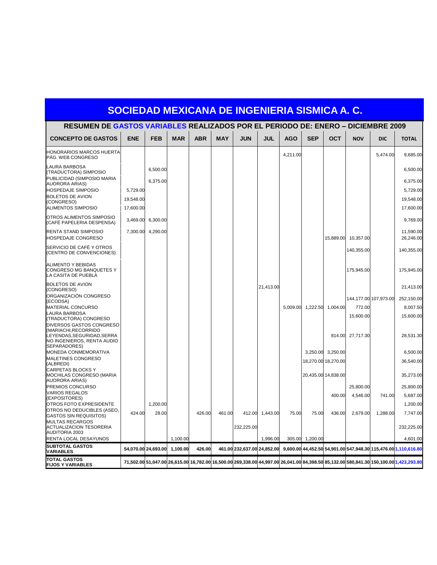| RESUMEN DE GASTOS VARIABLES REALIZADOS POR EL PERIODO DE: ENERO – DICIEMBRE 2009                |                        |                     |            |            |            |                             |                 |            |                 |                     |                     |                       |                                                                                                                                         |
|-------------------------------------------------------------------------------------------------|------------------------|---------------------|------------|------------|------------|-----------------------------|-----------------|------------|-----------------|---------------------|---------------------|-----------------------|-----------------------------------------------------------------------------------------------------------------------------------------|
| <b>CONCEPTO DE GASTOS</b>                                                                       | <b>ENE</b>             | <b>FEB</b>          | <b>MAR</b> | <b>ABR</b> | <b>MAY</b> | <b>JUN</b>                  | <b>JUL</b>      | <b>AGO</b> | <b>SEP</b>      | <b>OCT</b>          | <b>NOV</b>          | <b>DIC</b>            | <b>TOTAL</b>                                                                                                                            |
| <b>HONORARIOS MARCOS HUERTA</b><br>PÁG. WEB CONGRESO                                            |                        |                     |            |            |            |                             |                 | 4,211.00   |                 |                     |                     | 5,474.00              | 9,685.00                                                                                                                                |
| <b>LAURA BARBOSA</b><br>(TRADUCTORA) SIMPOSIO                                                   |                        | 6,500.00            |            |            |            |                             |                 |            |                 |                     |                     |                       | 6,500.00                                                                                                                                |
| PUBLICIDAD (SIMPOSIO MARIA<br><b>AUORORA ARIAS)</b>                                             |                        | 6,375.00            |            |            |            |                             |                 |            |                 |                     |                     |                       | 6,375.00                                                                                                                                |
| <b>HOSPEDAJE SIMPOSIO</b><br><b>BOLETOS DE AVION</b>                                            | 5,729.00               |                     |            |            |            |                             |                 |            |                 |                     |                     |                       | 5,729.00                                                                                                                                |
| (CONGRESO)<br><b>ALIMENTOS SIMPOSIO</b>                                                         | 19,548.00<br>17,600.00 |                     |            |            |            |                             |                 |            |                 |                     |                     |                       | 19,548.00<br>17,600.00                                                                                                                  |
| OTROS ALIMENTOS SIMPOSIO<br>(CAFÉ PAPELERIA DESPENSA)                                           | 3,469.00               | 6,300.00            |            |            |            |                             |                 |            |                 |                     |                     |                       | 9,769.00                                                                                                                                |
| RENTA STAND SIMPOSIO<br>HOSPEDAJE CONGRESO                                                      | 7,300.00               | 4,290.00            |            |            |            |                             |                 |            |                 |                     | 15,889.00 10,357.00 |                       | 11,590.00<br>26,246.00                                                                                                                  |
| SERVICIO DE CAFÉ Y OTROS<br>(CENTRO DE CONVENCIONES)                                            |                        |                     |            |            |            |                             |                 |            |                 |                     | 140,355.00          |                       | 140,355.00                                                                                                                              |
| ALIMENTO Y BEBIDAS<br>CONGRESO MG BANQUETES Y<br>LA CASITA DE PUEBLA                            |                        |                     |            |            |            |                             |                 |            |                 |                     | 175,945.00          |                       | 175,945.00                                                                                                                              |
| <b>BOLETOS DE AVION</b><br>(CONGRESO)                                                           |                        |                     |            |            |            |                             | 21,413.00       |            |                 |                     |                     |                       | 21,413.00                                                                                                                               |
| ORGANIZACIÓN CONGRESO<br>(ECODSA)                                                               |                        |                     |            |            |            |                             |                 |            |                 |                     |                     | 144,177.00 107,973.00 | 252,150.00                                                                                                                              |
| <b>MATERIAL CONCURSO</b>                                                                        |                        |                     |            |            |            |                             |                 | 5.009.00   |                 | 1,222.50 1,004.00   | 772.00              |                       | 8,007.50                                                                                                                                |
| <b>LAURA BARBOSA</b><br>(TRADUCTORA) CONGRESO<br>DIVERSOS GASTOS CONGRESO                       |                        |                     |            |            |            |                             |                 |            |                 |                     | 15,600.00           |                       | 15,600.00                                                                                                                               |
| (MARIACHI,RECORRIDO<br>LEYENDAS, SEGURIDAD, SERRA<br>NO INGENIEROS, RENTA AUDIO<br>SEPARADORES) |                        |                     |            |            |            |                             |                 |            |                 | 814.00              | 27,717.30           |                       | 28,531.30                                                                                                                               |
| <b>MONEDA CONMEMORATIVA</b>                                                                     |                        |                     |            |            |            |                             |                 |            |                 | 3,250.00 3,250.00   |                     |                       | 6,500.00                                                                                                                                |
| <b>MALETINES CONGRESO</b><br>(ALBREDI)                                                          |                        |                     |            |            |            |                             |                 |            |                 | 18,270.00 18,270.00 |                     |                       | 36,540.00                                                                                                                               |
| <b>CARPETAS BLOCKS Y</b><br>MOCHILAS CONGRESO (MARIA<br><b>AUORORA ARIAS)</b>                   |                        |                     |            |            |            |                             |                 |            |                 | 20,435.00 14,838.00 |                     |                       | 35,273.00                                                                                                                               |
| PREMIOS CONCURSO                                                                                |                        |                     |            |            |            |                             |                 |            |                 |                     | 25,800.00           |                       | 25,800.00                                                                                                                               |
| <b>VARIOS REGALOS</b><br>(EXPOSITORES)                                                          |                        |                     |            |            |            |                             |                 |            |                 | 400.00              | 4,546.00            | 741.00                | 5,687.00                                                                                                                                |
| OTROS FOTO EXPRESIDENTE                                                                         |                        | 1,200.00            |            |            |            |                             |                 |            |                 |                     |                     |                       | 1,200.00                                                                                                                                |
| OTROS NO DEDUCIBLES (ASEO,<br><b>GASTOS SIN REQUISITOS)</b>                                     | 424.00                 | 28.00               |            | 426.00     | 461.00     |                             | 412.00 1,443.00 | 75.00      | 75.00           | 436.00              | 2,679.00            | 1,288.00              | 7,747.00                                                                                                                                |
| <b>MULTAS RECARGOS</b><br><b>ACTUALIZACION TESORERIA</b><br><b>AUDITORIA 2003</b>               |                        |                     |            |            |            | 232,225.00                  |                 |            |                 |                     |                     |                       | 232,225.00                                                                                                                              |
| RENTA LOCAL DESAYUNOS                                                                           |                        |                     | 1,100.00   |            |            |                             | 1,996.00        |            | 305.00 1,200.00 |                     |                     |                       | 4,601.00                                                                                                                                |
| <b>SUBTOTAL GASTOS</b><br>VARIABLES                                                             |                        | 54,070.00 24,693.00 | 1,100.00   | 426.00     |            | 461.00 232,637.00 24,852.00 |                 |            |                 |                     |                     |                       | 9,600.00 44,452.50 54,901.00 547,948.30 115,476.00 1,110,616.80                                                                         |
| <b>TOTAL GASTOS</b><br><b>FIJOS Y VARIABLES</b>                                                 |                        |                     |            |            |            |                             |                 |            |                 |                     |                     |                       | 71,502.00 51,047.00 26,615.00 16,782.00 16,500.00 269,338.00 44,997.00 26,041.00 84,398.50 85,132.00 580,841.30 150,100.00 1,423,293.80 |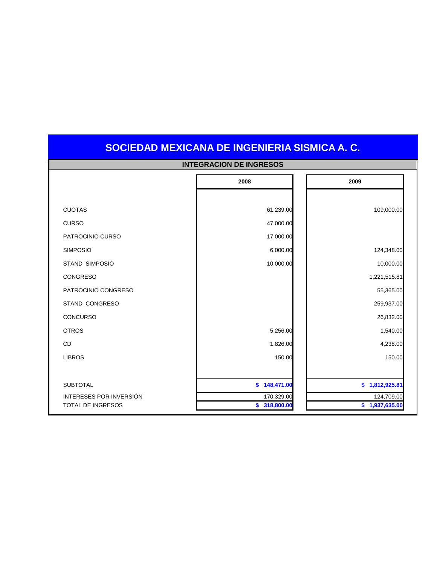|                          | <b>INTEGRACION DE INGRESOS</b> |                |
|--------------------------|--------------------------------|----------------|
|                          | 2008                           | 2009           |
|                          |                                |                |
| <b>CUOTAS</b>            | 61,239.00                      | 109,000.00     |
| <b>CURSO</b>             | 47,000.00                      |                |
| PATROCINIO CURSO         | 17,000.00                      |                |
| <b>SIMPOSIO</b>          | 6,000.00                       | 124,348.00     |
| <b>STAND SIMPOSIO</b>    | 10,000.00                      | 10,000.00      |
| <b>CONGRESO</b>          |                                | 1,221,515.81   |
| PATROCINIO CONGRESO      |                                | 55,365.00      |
| STAND CONGRESO           |                                | 259,937.00     |
| <b>CONCURSO</b>          |                                | 26,832.00      |
| <b>OTROS</b>             | 5,256.00                       | 1,540.00       |
| <b>CD</b>                | 1,826.00                       | 4,238.00       |
| <b>LIBROS</b>            | 150.00                         | 150.00         |
|                          |                                |                |
| <b>SUBTOTAL</b>          | \$148,471.00                   | \$1,812,925.81 |
| INTERESES POR INVERSIÓN  | 170,329.00                     | 124,709.00     |
| <b>TOTAL DE INGRESOS</b> | \$<br>318,800.00               | \$1,937,635.00 |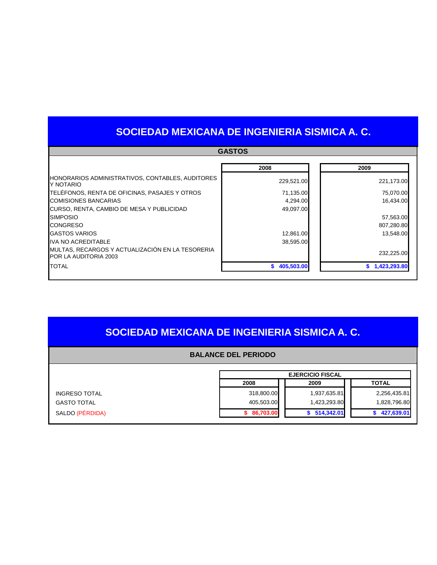|                                                                                  | <b>GASTOS</b>    |              |
|----------------------------------------------------------------------------------|------------------|--------------|
|                                                                                  | 2008             | 2009         |
| HONORARIOS ADMINISTRATIVOS, CONTABLES, AUDITORES<br>Y NOTARIO                    | 229,521.00       | 221,173.00   |
| TELÉFONOS, RENTA DE OFICINAS, PASAJES Y OTROS                                    | 71,135.00        | 75,070.00    |
| <b>COMISIONES BANCARIAS</b>                                                      | 4,294.00         | 16,434.00    |
| CURSO, RENTA, CAMBIO DE MESA Y PUBLICIDAD                                        | 49,097.00        |              |
| <b>SIMPOSIO</b>                                                                  |                  | 57,563.00    |
| <b>CONGRESO</b>                                                                  |                  | 807,280.80   |
| <b>GASTOS VARIOS</b>                                                             | 12,861.00        | 13,548.00    |
| <b>IVA NO ACREDITABLE</b>                                                        | 38,595.00        |              |
| MULTAS, RECARGOS Y ACTUALIZACIÓN EN LA TESORERIA<br><b>POR LA AUDITORIA 2003</b> |                  | 232,225.00   |
| <b>TOTAL</b>                                                                     | 405,503.00<br>S. | 1,423,293.80 |

### **SOCIEDAD MEXICANA DE INGENIERIA SISMICA A. C.**

#### **BALANCE DEL PERIODO**

|                      | <b>EJERCICIO FISCAL</b> |              |              |
|----------------------|-------------------------|--------------|--------------|
|                      | 2008                    | 2009         | <b>TOTAL</b> |
| <b>INGRESO TOTAL</b> | 318,800.00              | 1,937,635.81 | 2,256,435.81 |
| <b>GASTO TOTAL</b>   | 405,503.00              | 1,423,293.80 | 1,828,796.80 |
| SALDO (PÉRDIDA)      | 86,703.00               | 514,342.01   | 427,639.01   |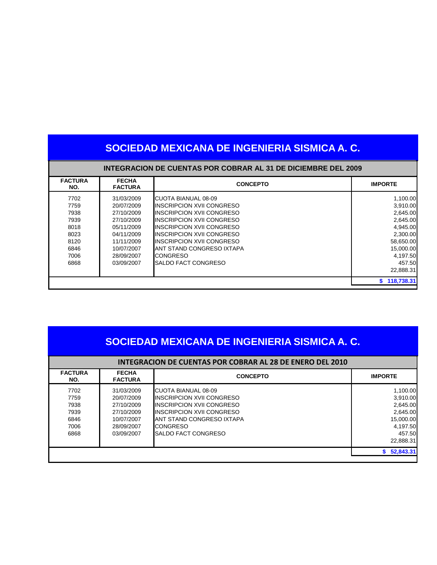| SOCIEDAD MEXICANA DE INGENIERIA SISMICA A. C. |                                                                      |                                   |                  |  |
|-----------------------------------------------|----------------------------------------------------------------------|-----------------------------------|------------------|--|
|                                               | <b>INTEGRACION DE CUENTAS POR COBRAR AL 31 DE DICIEMBRE DEL 2009</b> |                                   |                  |  |
| <b>FACTURA</b><br>NO.                         | <b>FECHA</b><br><b>FACTURA</b>                                       | <b>CONCEPTO</b>                   | <b>IMPORTE</b>   |  |
| 7702                                          | 31/03/2009                                                           | <b>CUOTA BIANUAL 08-09</b>        | 1,100.00         |  |
| 7759                                          | 20/07/2009                                                           | <b>IINSCRIPCION XVII CONGRESO</b> | 3,910.00         |  |
| 7938                                          | 27/10/2009                                                           | <b>INSCRIPCION XVII CONGRESO</b>  | 2,645.00         |  |
| 7939                                          | 27/10/2009                                                           | <b>INSCRIPCION XVII CONGRESO</b>  | 2,645.00         |  |
| 8018                                          | 05/11/2009                                                           | <b>IINSCRIPCION XVII CONGRESO</b> | 4,945.00         |  |
| 8023                                          | 04/11/2009                                                           | <b>IINSCRIPCION XVII CONGRESO</b> | 2,300.00         |  |
| 8120                                          | 11/11/2009                                                           | <b>INSCRIPCION XVII CONGRESO</b>  | 58,650.00        |  |
| 6846                                          | 10/07/2007                                                           | <b>ANT STAND CONGRESO IXTAPA</b>  | 15,000.00        |  |
| 7006                                          | 28/09/2007                                                           | <b>CONGRESO</b>                   | 4,197.50         |  |
| 6868                                          | 03/09/2007                                                           | <b>SALDO FACT CONGRESO</b>        | 457.50           |  |
|                                               |                                                                      |                                   | 22,888.31        |  |
|                                               |                                                                      |                                   | 118,738.31<br>S. |  |

| <b>INTEGRACION DE CUENTAS POR COBRAR AL 28 DE ENERO DEL 2010</b> |                                |                                  |                |
|------------------------------------------------------------------|--------------------------------|----------------------------------|----------------|
| <b>FACTURA</b><br>NO.                                            | <b>FECHA</b><br><b>FACTURA</b> | <b>CONCEPTO</b>                  | <b>IMPORTE</b> |
| 7702                                                             | 31/03/2009                     | ICUOTA BIANUAL 08-09             | 1,100.00       |
| 7759                                                             | 20/07/2009                     | <b>INSCRIPCION XVII CONGRESO</b> | 3,910.00       |
| 7938                                                             | 27/10/2009                     | <b>INSCRIPCION XVII CONGRESO</b> | 2,645.00       |
| 7939                                                             | 27/10/2009                     | <b>INSCRIPCION XVII CONGRESO</b> | 2.645.00       |
| 6846                                                             | 10/07/2007                     | ANT STAND CONGRESO IXTAPA        | 15,000.00      |
| 7006                                                             | 28/09/2007                     | <b>CONGRESO</b>                  | 4.197.50       |
| 6868                                                             | 03/09/2007                     | SALDO FACT CONGRESO              | 457.50         |
|                                                                  |                                |                                  | 22.888.31      |
|                                                                  |                                |                                  | \$52,843.31    |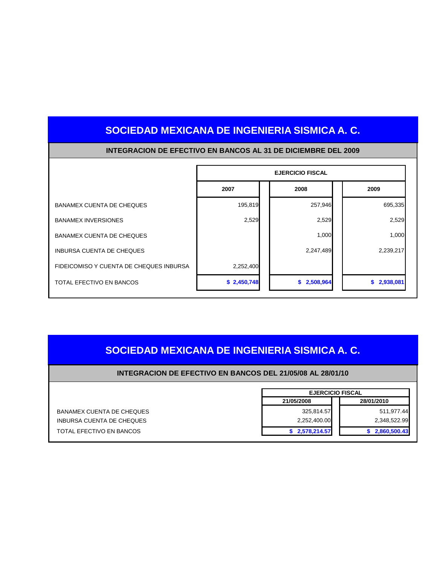|                                         | <b>EJERCICIO FISCAL</b> |             |             |
|-----------------------------------------|-------------------------|-------------|-------------|
|                                         | 2007                    | 2008        | 2009        |
| BANAMEX CUENTA DE CHEQUES               | 195,819                 | 257,946     | 695,335     |
| <b>BANAMEX INVERSIONES</b>              | 2,529                   | 2,529       | 2,529       |
| BANAMEX CUENTA DE CHEQUES               |                         | 1,000       | 1,000       |
| INBURSA CUENTA DE CHEQUES               |                         | 2,247,489   | 2,239,217   |
| FIDEICOMISO Y CUENTA DE CHEQUES INBURSA | 2,252,400               |             |             |
| TOTAL EFECTIVO EN BANCOS                | \$2,450,748             | \$2,508,964 | \$2,938,081 |

#### **INTEGRACION DE EFECTIVO EN BANCOS AL 31 DE DICIEMBRE DEL 2009**

### **SOCIEDAD MEXICANA DE INGENIERIA SISMICA A. C.**

#### **INTEGRACION DE EFECTIVO EN BANCOS DEL 21/05/08 AL 28/01/10**

|                           | <b>EJERCICIO FISCAL</b> |              |
|---------------------------|-------------------------|--------------|
|                           | 21/05/2008              | 28/01/2010   |
| BANAMEX CUENTA DE CHEQUES | 325,814.57              | 511,977.44   |
| INBURSA CUENTA DE CHEQUES | 2,252,400.00            | 2,348,522.99 |
| TOTAL EFECTIVO EN BANCOS  | 2,578,214.57            | 2,860,500.43 |